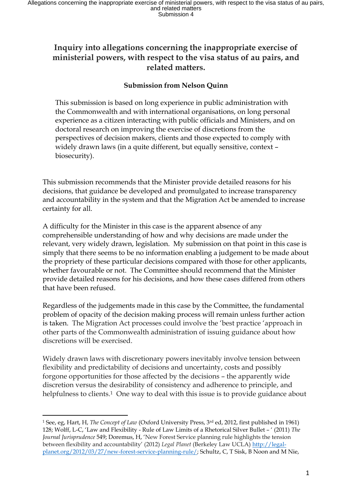## **Inquiry into allegations concerning the inappropriate exercise of ministerial powers, with respect to the visa status of au pairs, and related matters.**

## **Submission from Nelson Quinn**

This submission is based on long experience in public administration with the Commonwealth and with international organisations, on long personal experience as a citizen interacting with public officials and Ministers, and on doctoral research on improving the exercise of discretions from the perspectives of decision makers, clients and those expected to comply with widely drawn laws (in a quite different, but equally sensitive, context – biosecurity).

This submission recommends that the Minister provide detailed reasons for his decisions, that guidance be developed and promulgated to increase transparency and accountability in the system and that the Migration Act be amended to increase certainty for all.

A difficulty for the Minister in this case is the apparent absence of any comprehensible understanding of how and why decisions are made under the relevant, very widely drawn, legislation. My submission on that point in this case is simply that there seems to be no information enabling a judgement to be made about the propriety of these particular decisions compared with those for other applicants, whether favourable or not. The Committee should recommend that the Minister provide detailed reasons for his decisions, and how these cases differed from others that have been refused.

Regardless of the judgements made in this case by the Committee, the fundamental problem of opacity of the decision making process will remain unless further action is taken. The Migration Act processes could involve the 'best practice 'approach in other parts of the Commonwealth administration of issuing guidance about how discretions will be exercised.

Widely drawn laws with discretionary powers inevitably involve tension between flexibility and predictability of decisions and uncertainty, costs and possibly forgone opportunities for those affected by the decisions – the apparently wide discretion versus the desirability of consistency and adherence to principle, and helpfulness to clients.<sup>1</sup> One way to deal with this issue is to provide guidance about

l

<sup>1</sup> See, eg, Hart, H, *The Concept of Law* (Oxford University Press, 3rd ed, 2012, first published in 1961) 128; Wolff, L-C, 'Law and Flexibility - Rule of Law Limits of a Rhetorical Silver Bullet – ' (2011) *The Journal Jurisprudence* 549; Doremus, H, 'New Forest Service planning rule highlights the tension between flexibility and accountability' (2012) *Legal Planet* (Berkeley Law UCLA) [http://legal](http://legal-planet.org/2012/03/27/new-forest-service-planning-rule/)[planet.org/2012/03/27/new-forest-service-planning-rule/;](http://legal-planet.org/2012/03/27/new-forest-service-planning-rule/) Schultz, C, T Sisk, B Noon and M Nie,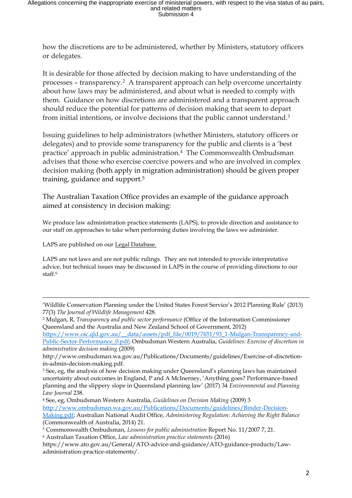how the discretions are to be administered, whether by Ministers, statutory officers or delegates.

It is desirable for those affected by decision making to have understanding of the processes – transparency.2 A transparent approach can help overcome uncertainty about how laws may be administered, and about what is needed to comply with them. Guidance on how discretions are administered and a transparent approach should reduce the potential for patterns of decision making that seem to depart from initial intentions, or involve decisions that the public cannot understand.<sup>3</sup>

Issuing guidelines to help administrators (whether Ministers, statutory officers or delegates) and to provide some transparency for the public and clients is a 'best practice' approach in public administration.4 The Commonwealth Ombudsman advises that those who exercise coercive powers and who are involved in complex decision making (both apply in migration administration) should be given proper training, guidance and support.<sup>5</sup>

The Australian Taxation Office provides an example of the guidance approach aimed at consistency in decision making:

We produce law administration practice statements (LAPS), to provide direction and assistance to our staff on approaches to take when performing duties involving the laws we administer.

LAPS are published on our Legal Database.

l

LAPS are not laws and are not public rulings. They are not intended to provide interpretative advice, but technical issues may be discussed in LAPS in the course of providing directions to our staff.<sup>6</sup>

[https://www.oic.qld.gov.au/\\_\\_data/assets/pdf\\_file/0019/7651/93\\_1-Mulgan-Transparency-and-](https://www.oic.qld.gov.au/__data/assets/pdf_file/0019/7651/93_1-Mulgan-Transparency-and-Public-Sector-Performance_0.pdf)[Public-Sector-Performance\\_0.pdf;](https://www.oic.qld.gov.au/__data/assets/pdf_file/0019/7651/93_1-Mulgan-Transparency-and-Public-Sector-Performance_0.pdf) Ombudsman Western Australia, *Guidelines: Exercise of discretion in* 

<sup>&#</sup>x27;Wildlife Conservation Planning under the United States Forest Service's 2012 Planning Rule' (2013) 77(3) *The Journal of Wildlife Management* 428.

<sup>2</sup> Mulgan, R, *Transparency and public sector performance* (Office of the Information Commissioner Queensland and the Australia and New Zealand School of Government, 2012)

*administrative decision making* (2009)

http://www.ombudsman.wa.gov.au/Publications/Documents/guidelines/Exercise-of-discretionin-admin-decision-making.pdf.

<sup>&</sup>lt;sup>3</sup> See, eg, the analysis of how decision making under Queensland's planning laws has maintained uncertainty about outcomes in England, P and A McInerney, 'Anything goes? Performance-based planning and the slippery slope in Queensland planning law' (2017) 34 *Environmental and Planning Law Journal* 238.

<sup>4</sup> See, eg, Ombudsman Western Australia, *Guidelines on Decision Making* (2009) 3 [http://www.ombudsman.wa.gov.au/Publications/Documents/guidelines/Binder-Decision-](http://www.ombudsman.wa.gov.au/Publications/Documents/guidelines/Binder-Decision-Making.pdf)[Making.pdf;](http://www.ombudsman.wa.gov.au/Publications/Documents/guidelines/Binder-Decision-Making.pdf) Australian National Audit Office, *Administering Regulation: Achieving the Right Balance*  (Commonwealth of Australia, 2014) 21.

<sup>5</sup> Commonwealth Ombudsman, *Lessons for public administration* Report No. 11/2007 7, 21. <sup>6</sup> Australian Taxation Office, *Law administration practice statements* (2016)

https://www.ato.gov.au/General/ATO-advice-and-guidance/ATO-guidance-products/Lawadministration-practice-statements/.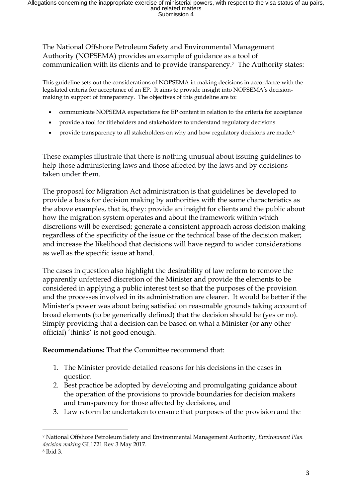The National Offshore Petroleum Safety and Environmental Management Authority (NOPSEMA) provides an example of guidance as a tool of communication with its clients and to provide transparency.7 The Authority states:

This guideline sets out the considerations of NOPSEMA in making decisions in accordance with the legislated criteria for acceptance of an EP. It aims to provide insight into NOPSEMA's decisionmaking in support of transparency. The objectives of this guideline are to:

- communicate NOPSEMA expectations for EP content in relation to the criteria for acceptance
- provide a tool for titleholders and stakeholders to understand regulatory decisions
- provide transparency to all stakeholders on why and how regulatory decisions are made.<sup>8</sup>

These examples illustrate that there is nothing unusual about issuing guidelines to help those administering laws and those affected by the laws and by decisions taken under them.

The proposal for Migration Act administration is that guidelines be developed to provide a basis for decision making by authorities with the same characteristics as the above examples, that is, they: provide an insight for clients and the public about how the migration system operates and about the framework within which discretions will be exercised; generate a consistent approach across decision making regardless of the specificity of the issue or the technical base of the decision maker; and increase the likelihood that decisions will have regard to wider considerations as well as the specific issue at hand.

The cases in question also highlight the desirability of law reform to remove the apparently unfettered discretion of the Minister and provide the elements to be considered in applying a public interest test so that the purposes of the provision and the processes involved in its administration are clearer. It would be better if the Minister's power was about being satisfied on reasonable grounds taking account of broad elements (to be generically defined) that the decision should be (yes or no). Simply providing that a decision can be based on what a Minister (or any other official) 'thinks' is not good enough.

**Recommendations:** That the Committee recommend that:

- 1. The Minister provide detailed reasons for his decisions in the cases in question
- 2. Best practice be adopted by developing and promulgating guidance about the operation of the provisions to provide boundaries for decision makers and transparency for those affected by decisions, and
- 3. Law reform be undertaken to ensure that purposes of the provision and the

 $\overline{a}$ 

<sup>7</sup> National Offshore Petroleum Safety and Environmental Management Authority, *Environment Plan decision making* GL1721 Rev 3 May 2017.